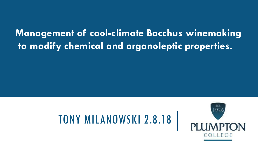#### **Management of cool-climate Bacchus winemaking to modify chemical and organoleptic properties.**

## TONY MILANOWSKI 2.8.18

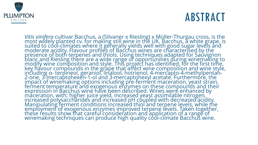

## ABSTRACT

*Vitis vinifera* cultivar Bacchus, a (Silvaner x Riesling) x Müller-Thurgau cross, is the most widely planted cv. for making still wine in the UK. Bacchus, a white grape, is suited to cool-climates where it generally yields well with good sugar levels and moderate acidity. Flavour profiles of Bacchus wines are characterised by the presence of both terpenes and thiols. Using techniques adapted for Sauvignon blanc and Riesling there are a wide range of opportunities during winemaking to modify wine composition and style. This project has identified, for the first time, key flavour compounds in the grape that affect wine composition and wine style, including α- terpineol, geraniol, linalool, hotrienol, 4-mercapto-4-methylpentan-2-one, 3-mercaptohexen-1-ol and 3-mercaptohexyl acetate. Furthermore, the impact of winemaking options including pre-ferment maceration, yeast strain, ferment temperature and exogenous enzymes on these compounds and their expression in Bacchus wine have been described. Wines were enhanced by maceration, with; higher juice yield, increased yeast assimilable nitrogen, increased polysaccharides and increased pH coupled with decreased acidity. Manipulating ferment conditions increased thiol and terpene levels, while the employment of exogenous enzymes improved terpene levels. Taken together, these results show that careful consideration and application of a range of winemaking techniques can produce high quality cool-climate Bacchus wine.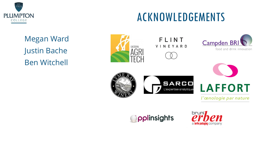

## ACKNOWLEDGEMENTS

Megan Ward Justin Bache Ben Witchell



FLINT **VINEYARD** 









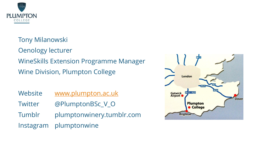

Tony Milanowski Oenology lecturer WineSkills Extension Programme Manager Wine Division, Plumpton College

| Website | www.plumpton.ac.uk        |
|---------|---------------------------|
| Twitter | @PlumptonBSc_V_O          |
| Tumblr  | plumptonwinery.tumblr.com |
|         | Instagram plumptonwine    |

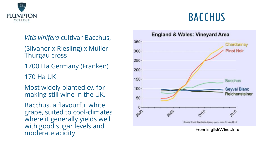

# *Vitis vinifera* cultivar Bacchus, (Silvaner x Riesling) x Müller-

Thurgau cross

1700 Ha Germany (Franken)

170 Ha UK

Most widely planted cv. for making still wine in the UK.

Bacchus, a flavourful white grape, suited to cool -climates where it generally yields well with good sugar levels and moderate acidity

## BACCHUS



**England & Wales: Vineyard Area** 

From EnglishWines.info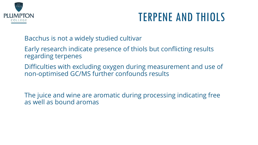

## TERPENE AND THIOLS

Bacchus is not a widely studied cultivar

Early research indicate presence of thiols but conflicting results regarding terpenes

Difficulties with excluding oxygen during measurement and use of non-optimised GC/MS further confounds results

The juice and wine are aromatic during processing indicating free as well as bound aromas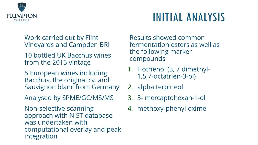

## INITIAL ANALYSIS

Work carried out by Flint Vineyards and Campden BRI

- 10 bottled UK Bacchus wines from the 2015 vintage
- 5 European wines including Bacchus, the original cv. and Sauvignon blanc from Germany
- Analysed by SPME/GC/MS/MS

Non-selective scanning approach with NIST database was undertaken with computational overlay and peak integration

Results showed common fermentation esters as well as the following marker compounds

- 1. Hotrienol (3, 7 dimethyl-1,5,7-octatrien-3-ol)
- 2. alpha terpineol
- 3. 3- mercaptohexan-1-ol
- 4. methoxy-phenyl oxime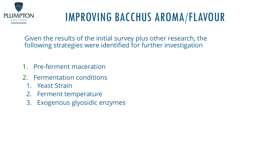

## IMPROVING BACCHUS AROMA/FLAVOUR

Given the results of the initial survey plus other research, the following strategies were identified for further investigation

- 1. Pre-ferment maceration
- 2. Fermentation conditions
	- 1. Yeast Strain
	- 2. Ferment temperature
	- 3. Exogenous glyosidic enzymes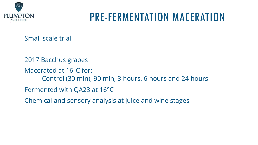

#### PRE-FERMENTATION MACERATION

Small scale trial

2017 Bacchus grapes Macerated at 16°C for: Control (30 min), 90 min, 3 hours, 6 hours and 24 hours Fermented with QA23 at 16°C Chemical and sensory analysis at juice and wine stages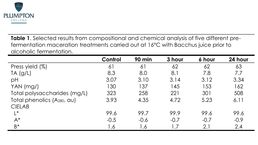

**Table 1**. Selected results from compositional and chemical analysis of five different prefermentation maceration treatments carried out at 16°C with Bacchus juice prior to alcoholic fermentation.

|                                         | <b>Control</b> | 90 min | 3 hour | 6 hour | 24 hour |
|-----------------------------------------|----------------|--------|--------|--------|---------|
| Press yield (%)                         | 61             | 61     | 62     | 62     | 63      |
| $TA$ (g/L)                              | 8.3            | 8.0    | 8.1    | 7.8    | 7.7     |
| pH                                      | 3.07           | 3.10   | 3.14   | 3.12   | 3.34    |
| YAN (mg/)                               | 130            | 137    | 145    | 153    | 162     |
| Total polysaccharides (mg/L)            | 323            | 258    | 221    | 301    | 508     |
| Total phenolics (A <sub>280</sub> , au) | 3.93           | 4.35   | 4.72   | 5.23   | 6.11    |
| <b>CIELAB</b>                           |                |        |        |        |         |
| $L^*$                                   | 99.6           | 99.7   | 99.9   | 99.6   | 99.6    |
| $A^*$                                   | $-0.5$         | $-0.6$ | $-0.7$ | $-0.7$ | $-0.9$  |
| $B^*$                                   | 1.6            | 1.6    | 1.7    | 2.1    | 2.4     |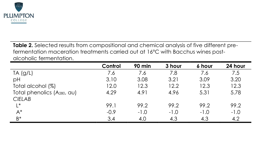

**Table 2.** Selected results from compositional and chemical analysis of five different prefermentation maceration treatments carried out at 16°C with Bacchus wines postalcoholic fermentation.

|                                         | <b>Control</b> | 90 min | 3 hour | 6 hour | 24 hour |
|-----------------------------------------|----------------|--------|--------|--------|---------|
| $TA$ (g/L)                              | 7.6            | 7.6    | 7.8    | 7.6    | 7.5     |
| pH                                      | 3.10           | 3.08   | 3.21   | 3.09   | 3.20    |
| Total alcohol (%)                       | 12.0           | 12.3   | 12.2   | 12.3   | 12.3    |
| Total phenolics (A <sub>280</sub> , au) | 4.29           | 4.91   | 4.96   | 5.31   | 5.78    |
| <b>CIELAB</b>                           |                |        |        |        |         |
| $L^*$                                   | 99.1           | 99.2   | 99.2   | 99.2   | 99.2    |
| $A^*$                                   | $-0.9$         | $-1.0$ | $-1.0$ | $-1.0$ | $-1.0$  |
| $B^*$                                   | 3.4            | 4.0    | 4.3    | 4.3    | 4.2     |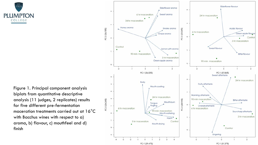

Figure 1. Principal component analysis biplots from quantitative descriptive analysis (11 judges, 2 replicates) results for five different pre-fermentation maceration treatments carried out at 16°C with Bacchus wines with respect to a) aroma, b) flavour, c) mouthfeel and d) finish

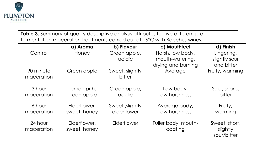

**Table 3.** Summary of quality descriptive analysis attributes for five different prefermentation maceration treatments carried out at 16°C with Bacchus wines.

|                         | a) Aroma                     | b) Flavour                    | c) Mouthfeel                                              | d) Finish                                 |
|-------------------------|------------------------------|-------------------------------|-----------------------------------------------------------|-------------------------------------------|
| Control                 | Honey                        | Green apple,<br>acidic        | Harsh, low body,<br>mouth-watering,<br>drying and burning | Lingering,<br>slightly sour<br>and bitter |
| 90 minute<br>maceration | Green apple                  | Sweet, slightly<br>bitter     | Average                                                   | Fruity, warming                           |
| 3 hour<br>maceration    | Lemon pith,<br>green apple   | Green apple,<br>acidic        | Low body,<br>low harshness                                | Sour, sharp,<br>bitter                    |
| 6 hour<br>maceration    | Elderflower,<br>sweet, honey | Sweet slightly<br>elderflower | Average body,<br>low harshness                            | Fruity,<br>warming                        |
| 24 hour<br>maceration   | Elderflower,<br>sweet, honey | Elderflower                   | Fuller body, mouth-<br>coating                            | Sweet, short,<br>slightly<br>sour/bitter  |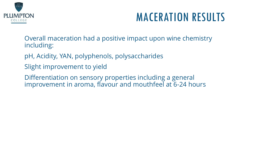

## MACERATION RESULTS

Overall maceration had a positive impact upon wine chemistry including:

pH, Acidity, YAN, polyphenols, polysaccharides

Slight improvement to yield

Differentiation on sensory properties including a general improvement in aroma, flavour and mouthfeel at 6-24 hours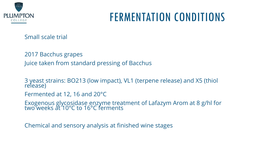

## FERMENTATION CONDITIONS

Small scale trial

2017 Bacchus grapes Juice taken from standard pressing of Bacchus

3 yeast strains: BO213 (low impact), VL1 (terpene release) and X5 (thiol release)

Fermented at 12, 16 and 20°C

Exogenous glycosidase enzyme treatment of Lafazym Arom at 8 g/hl for two weeks at 10°C to 16°C ferments

Chemical and sensory analysis at finished wine stages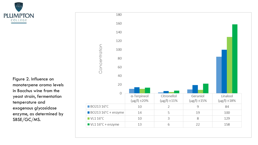

Figure 2. Influence on monoterpene aroma levels in Bacchus wine from the yeast strain, fermentation temperature and exogenous glycosidase enzyme, as determined by SBSE/GC/MS.

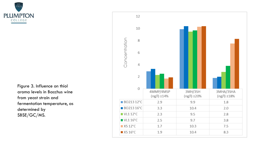

Figure 3. Influence on thiol aroma levels in Bacchus wine from yeast strain and fermentation temperature, as determined by SBSE/GC/MS.

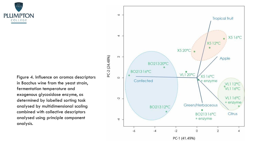$1926$ **PI LIMPTON** COLLEGE

> Figure 4. Influence on aromas descriptors in Bacchus wine from the yeast strain, fermentation temperature and exogenous glycosidase enzyme, as determined by labelled sorting task analysed by multidimensional scaling combined with collective descriptors analysed using principle component analysis.

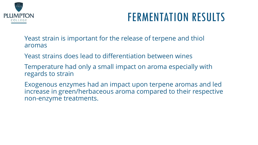

## FERMENTATION RESULTS

Yeast strain is important for the release of terpene and thiol aromas

Yeast strains does lead to differentiation between wines

Temperature had only a small impact on aroma especially with regards to strain

Exogenous enzymes had an impact upon terpene aromas and led increase in green/herbaceous aroma compared to their respective non-enzyme treatments.